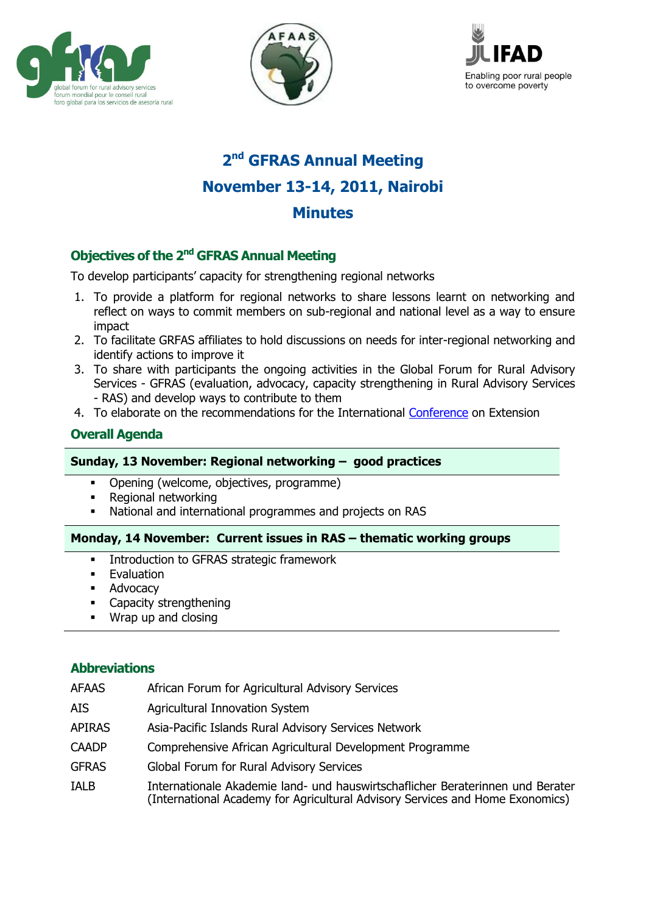





# **2 nd GFRAS Annual Meeting November 13-14, 2011, Nairobi Minutes**

# **Objectives of the 2nd GFRAS Annual Meeting**

To develop participants' capacity for strengthening regional networks

- 1. To provide a platform for regional networks to share lessons learnt on networking and reflect on ways to commit members on sub-regional and national level as a way to ensure impact
- 2. To facilitate GRFAS affiliates to hold discussions on needs for inter-regional networking and identify actions to improve it
- 3. To share with participants the ongoing activities in the Global Forum for Rural Advisory Services - GFRAS (evaluation, advocacy, capacity strengthening in Rural Advisory Services - RAS) and develop ways to contribute to them
- 4. To elaborate on the recommendations for the International [Conference](http://extensionconference2011.cta.int/) on Extension

# **Overall Agenda**

## **Sunday, 13 November: Regional networking – good practices**

- Opening (welcome, objectives, programme)
- Regional networking
- National and international programmes and projects on RAS

#### **Monday, 14 November: Current issues in RAS – thematic working groups**

- **Introduction to GFRAS strategic framework**
- **Evaluation**
- Advocacy
- Capacity strengthening
- **Wrap up and closing**

## **Abbreviations**

| <b>AFAAS</b>  | African Forum for Agricultural Advisory Services                                                                                                                |
|---------------|-----------------------------------------------------------------------------------------------------------------------------------------------------------------|
| <b>AIS</b>    | Agricultural Innovation System                                                                                                                                  |
| <b>APIRAS</b> | Asia-Pacific Islands Rural Advisory Services Network                                                                                                            |
| <b>CAADP</b>  | Comprehensive African Agricultural Development Programme                                                                                                        |
| <b>GFRAS</b>  | Global Forum for Rural Advisory Services                                                                                                                        |
| <b>IALB</b>   | Internationale Akademie land- und hauswirtschaflicher Beraterinnen und Berater<br>(International Academy for Agricultural Advisory Services and Home Exonomics) |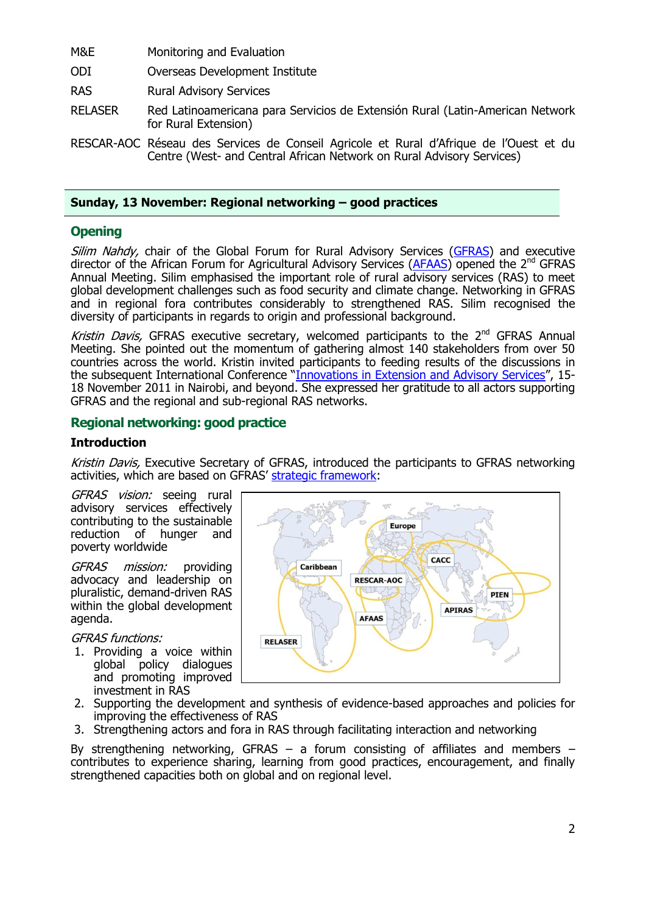- M&E Monitoring and Evaluation
- ODI Overseas Development Institute
- RAS Rural Advisory Services
- RELASER Red Latinoamericana para Servicios de Extensión Rural (Latin-American Network for Rural Extension)
- RESCAR-AOC Réseau des Services de Conseil Agricole et Rural d'Afrique de l'Ouest et du Centre (West- and Central African Network on Rural Advisory Services)

#### **Sunday, 13 November: Regional networking – good practices**

## **Opening**

Silim Nahdy, chair of the Global Forum for Rural Advisory Services [\(GFRAS\)](http://www.g-fras.org/) and executive director of the African Forum for Agricultural Advisory Services [\(AFAAS\)](http://www.afaas-africa.org/) opened the 2<sup>nd</sup> GFRAS Annual Meeting. Silim emphasised the important role of rural advisory services (RAS) to meet global development challenges such as food security and climate change. Networking in GFRAS and in regional fora contributes considerably to strengthened RAS. Silim recognised the diversity of participants in regards to origin and professional background.

Kristin Davis, GFRAS executive secretary, welcomed participants to the 2<sup>nd</sup> GFRAS Annual Meeting. She pointed out the momentum of gathering almost 140 stakeholders from over 50 countries across the world. Kristin invited participants to feeding results of the discussions in the subsequent International Conference "[Innovations in Extension and Advisory Services](http://extensionconference2011.cta.int/)", 15- 18 November 2011 in Nairobi, and beyond. She expressed her gratitude to all actors supporting GFRAS and the regional and sub-regional RAS networks.

## **Regional networking: good practice**

#### **Introduction**

Kristin Davis, Executive Secretary of GFRAS, introduced the participants to GFRAS networking activities, which are based on GFRAS' [strategic framework:](http://www.g-fras.org/en/knowledge/gfras-publications/file/67-gfras-strategic-framework)

GFRAS vision: seeing rural advisory services effectively contributing to the sustainable reduction of hunger and poverty worldwide

GFRAS mission: providing advocacy and leadership on pluralistic, demand-driven RAS within the global development agenda.

GFRAS functions:

1. Providing a voice within global policy dialogues and promoting improved investment in RAS



- 2. Supporting the development and synthesis of evidence-based approaches and policies for improving the effectiveness of RAS
- 3. Strengthening actors and fora in RAS through facilitating interaction and networking

By strengthening networking, GFRAS – a forum consisting of affiliates and members – contributes to experience sharing, learning from good practices, encouragement, and finally strengthened capacities both on global and on regional level.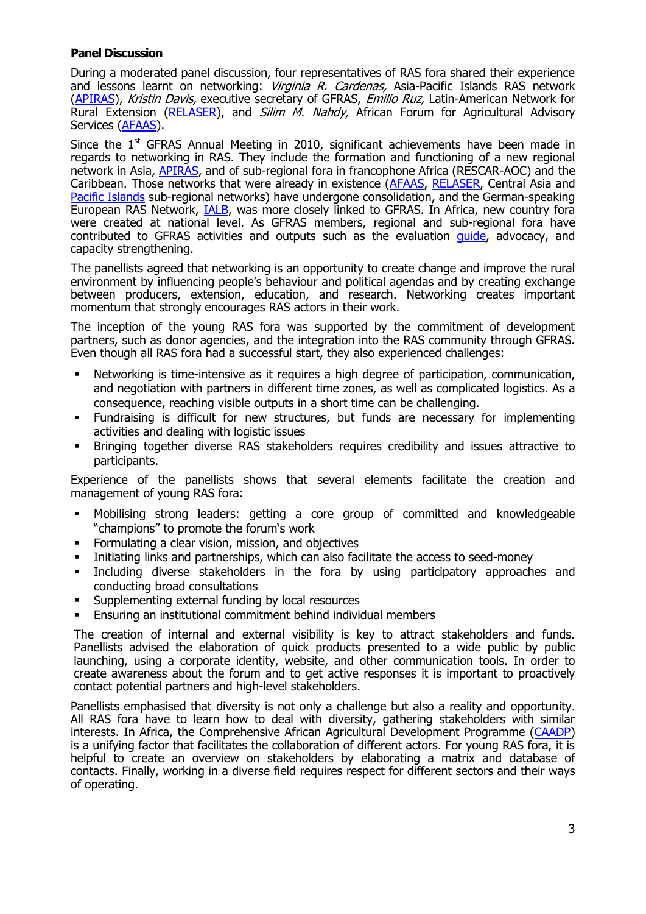#### **Panel Discussion**

During a moderated panel discussion, four representatives of RAS fora shared their experience and lessons learnt on networking: Virginia R. Cardenas, Asia-Pacific Islands RAS network [\(APIRAS\)](http://apirasnetwork.org/), Kristin Davis, executive secretary of GFRAS, Emilio Ruz, Latin-American Network for Rural Extension [\(RELASER\)](http://www.relaser.org/), and *Silim M. Nahdy,* African Forum for Agricultural Advisory Services [\(AFAAS\)](http://www.afaas-africa.org/).

Since the  $1<sup>st</sup>$  GFRAS Annual Meeting in 2010, significant achievements have been made in regards to networking in RAS. They include the formation and functioning of a new regional network in Asia, **APIRAS**, and of sub-regional fora in francophone Africa (RESCAR-AOC) and the Caribbean. Those networks that were already in existence [\(AFAAS,](http://www.afaas-africa.org/) [RELASER,](http://www.relaser.org/) Central Asia and [Pacific Islands](http://www.spc.int/lrd/index.php?option=com_content&view=article&id=387&Itemid=264) sub-regional networks) have undergone consolidation, and the German-speaking European RAS Network, [IALB,](http://www.ialb.org/) was more closely linked to GFRAS. In Africa, new country fora were created at national level. As GFRAS members, regional and sub-regional fora have contributed to GFRAS activities and outputs such as the evaluation *guide*, advocacy, and capacity strengthening.

The panellists agreed that networking is an opportunity to create change and improve the rural environment by influencing people's behaviour and political agendas and by creating exchange between producers, extension, education, and research. Networking creates important momentum that strongly encourages RAS actors in their work.

The inception of the young RAS fora was supported by the commitment of development partners, such as donor agencies, and the integration into the RAS community through GFRAS. Even though all RAS fora had a successful start, they also experienced challenges:

- Networking is time-intensive as it requires a high degree of participation, communication, and negotiation with partners in different time zones, as well as complicated logistics. As a consequence, reaching visible outputs in a short time can be challenging.
- Fundraising is difficult for new structures, but funds are necessary for implementing activities and dealing with logistic issues
- Bringing together diverse RAS stakeholders requires credibility and issues attractive to participants.

Experience of the panellists shows that several elements facilitate the creation and management of young RAS fora:

- Mobilising strong leaders: getting a core group of committed and knowledgeable "champions" to promote the forum's work
- Formulating a clear vision, mission, and objectives
- Initiating links and partnerships, which can also facilitate the access to seed-money
- Including diverse stakeholders in the fora by using participatory approaches and conducting broad consultations
- Supplementing external funding by local resources
- Ensuring an institutional commitment behind individual members

The creation of internal and external visibility is key to attract stakeholders and funds. Panellists advised the elaboration of quick products presented to a wide public by public launching, using a corporate identity, website, and other communication tools. In order to create awareness about the forum and to get active responses it is important to proactively contact potential partners and high-level stakeholders.

Panellists emphasised that diversity is not only a challenge but also a reality and opportunity. All RAS fora have to learn how to deal with diversity, gathering stakeholders with similar interests. In Africa, the Comprehensive African Agricultural Development Programme [\(CAADP\)](http://www.nepad-caadp.net/) is a unifying factor that facilitates the collaboration of different actors. For young RAS fora, it is helpful to create an overview on stakeholders by elaborating a matrix and database of contacts. Finally, working in a diverse field requires respect for different sectors and their ways of operating.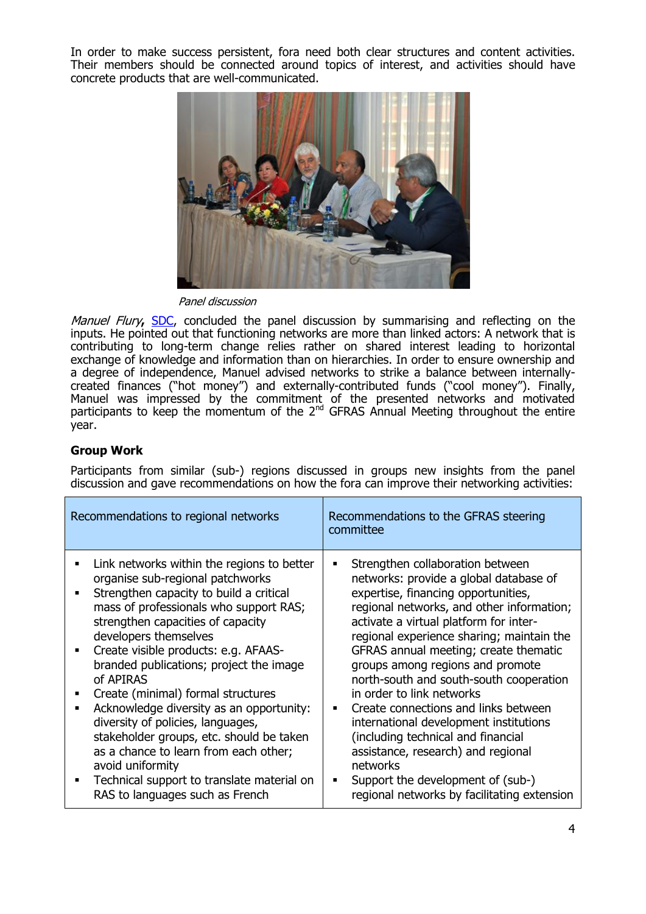In order to make success persistent, fora need both clear structures and content activities. Their members should be connected around topics of interest, and activities should have concrete products that are well-communicated.



Panel discussion

Manuel Flury, [SDC,](http://www.sdc.admin.ch/) concluded the panel discussion by summarising and reflecting on the inputs. He pointed out that functioning networks are more than linked actors: A network that is contributing to long-term change relies rather on shared interest leading to horizontal exchange of knowledge and information than on hierarchies. In order to ensure ownership and a degree of independence, Manuel advised networks to strike a balance between internallycreated finances ("hot money") and externally-contributed funds ("cool money"). Finally, Manuel was impressed by the commitment of the presented networks and motivated participants to keep the momentum of the  $2<sup>nd</sup>$  GFRAS Annual Meeting throughout the entire year.

## **Group Work**

Participants from similar (sub-) regions discussed in groups new insights from the panel discussion and gave recommendations on how the fora can improve their networking activities:

| Recommendations to regional networks                                                                                                                                                                                                                                                                                                                                                                                                                                                                                                                                                                                                               | Recommendations to the GFRAS steering<br>committee                                                                                                                                                                                                                                                                                                                                                                                                                                                                                                                                                                                                                                                                             |  |  |
|----------------------------------------------------------------------------------------------------------------------------------------------------------------------------------------------------------------------------------------------------------------------------------------------------------------------------------------------------------------------------------------------------------------------------------------------------------------------------------------------------------------------------------------------------------------------------------------------------------------------------------------------------|--------------------------------------------------------------------------------------------------------------------------------------------------------------------------------------------------------------------------------------------------------------------------------------------------------------------------------------------------------------------------------------------------------------------------------------------------------------------------------------------------------------------------------------------------------------------------------------------------------------------------------------------------------------------------------------------------------------------------------|--|--|
| Link networks within the regions to better<br>organise sub-regional patchworks<br>Strengthen capacity to build a critical<br>mass of professionals who support RAS;<br>strengthen capacities of capacity<br>developers themselves<br>Create visible products: e.g. AFAAS-<br>branded publications; project the image<br>of APIRAS<br>Create (minimal) formal structures<br>Acknowledge diversity as an opportunity:<br>diversity of policies, languages,<br>stakeholder groups, etc. should be taken<br>as a chance to learn from each other;<br>avoid uniformity<br>Technical support to translate material on<br>RAS to languages such as French | Strengthen collaboration between<br>$\blacksquare$<br>networks: provide a global database of<br>expertise, financing opportunities,<br>regional networks, and other information;<br>activate a virtual platform for inter-<br>regional experience sharing; maintain the<br>GFRAS annual meeting; create thematic<br>groups among regions and promote<br>north-south and south-south cooperation<br>in order to link networks<br>Create connections and links between<br>$\blacksquare$<br>international development institutions<br>(including technical and financial<br>assistance, research) and regional<br>networks<br>Support the development of (sub-)<br>$\blacksquare$<br>regional networks by facilitating extension |  |  |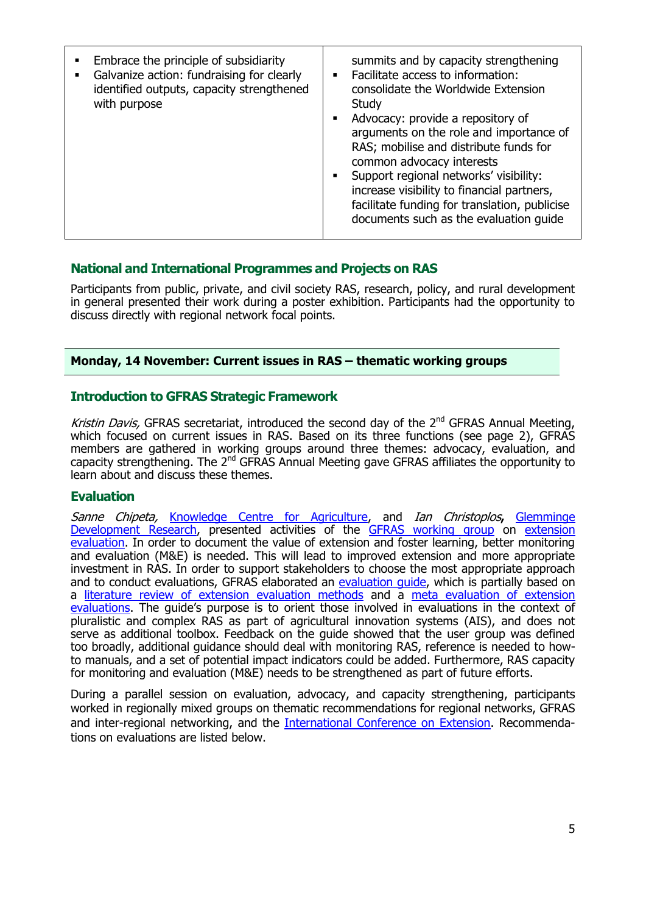| $\blacksquare$ | Embrace the principle of subsidiarity<br>Galvanize action: fundraising for clearly<br>identified outputs, capacity strengthened<br>with purpose | summits and by capacity strengthening<br>Facilitate access to information:<br>$\mathbf{r}$<br>consolidate the Worldwide Extension<br>Study<br>Advocacy: provide a repository of<br>$\blacksquare$<br>arguments on the role and importance of<br>RAS; mobilise and distribute funds for<br>common advocacy interests<br>Support regional networks' visibility:<br>$\sim$<br>increase visibility to financial partners,<br>facilitate funding for translation, publicise<br>documents such as the evaluation guide |
|----------------|-------------------------------------------------------------------------------------------------------------------------------------------------|------------------------------------------------------------------------------------------------------------------------------------------------------------------------------------------------------------------------------------------------------------------------------------------------------------------------------------------------------------------------------------------------------------------------------------------------------------------------------------------------------------------|
|----------------|-------------------------------------------------------------------------------------------------------------------------------------------------|------------------------------------------------------------------------------------------------------------------------------------------------------------------------------------------------------------------------------------------------------------------------------------------------------------------------------------------------------------------------------------------------------------------------------------------------------------------------------------------------------------------|

## **National and International Programmes and Projects on RAS**

Participants from public, private, and civil society RAS, research, policy, and rural development in general presented their work during a poster exhibition. Participants had the opportunity to discuss directly with regional network focal points.

#### **Monday, 14 November: Current issues in RAS – thematic working groups**

#### **Introduction to GFRAS Strategic Framework**

Kristin Davis, GFRAS secretariat, introduced the second day of the  $2^{nd}$  GFRAS Annual Meeting, which focused on current issues in RAS. Based on its three functions (see page 2), GFRAS members are gathered in working groups around three themes: advocacy, evaluation, and capacity strengthening. The 2<sup>nd</sup> GFRAS Annual Meeting gave GFRAS affiliates the opportunity to learn about and discuss these themes.

#### **Evaluation**

Sanne Chipeta, [Knowledge Centre for Agriculture,](http://www.vfl.dk/English/NyEnglishsite.htm) and Ian Christoplos**,** [Glemminge](http://www.glemdev.com/)  [Development Research,](http://www.glemdev.com/) presented activities of the [GFRAS working group](http://www.g-fras.org/en/community/working-groups) on extension [evaluation.](http://www.g-fras.org/images/events/annual_meetings/2011/inputs/extension-evaluation_chipeta_christoplos.pdf) In order to document the value of extension and foster learning, better monitoring and evaluation (M&E) is needed. This will lead to improved extension and more appropriate investment in RAS. In order to support stakeholders to choose the most appropriate approach and to conduct evaluations, GFRAS elaborated an [evaluation guide,](http://www.g-fras.org/en/knowledge/gfras-publications/file/20-guide-to-extension-evaluation) which is partially based on a [literature review of extension evaluation methods](http://www.g-fras.org/en/knowledge/gfras-publications/file/63-review-of-literature-on-evaluation-methods-relevant-to-extension) and a [meta evaluation of extension](http://www.g-fras.org/en/knowledge/gfras-publications/file/62-meta-evaluation-of-extension-evaluation)  [evaluations](http://www.g-fras.org/en/knowledge/gfras-publications/file/62-meta-evaluation-of-extension-evaluation). The guide's purpose is to orient those involved in evaluations in the context of pluralistic and complex RAS as part of agricultural innovation systems (AIS), and does not serve as additional toolbox. Feedback on the guide showed that the user group was defined too broadly, additional guidance should deal with monitoring RAS, reference is needed to howto manuals, and a set of potential impact indicators could be added. Furthermore, RAS capacity for monitoring and evaluation (M&E) needs to be strengthened as part of future efforts.

During a parallel session on evaluation, advocacy, and capacity strengthening, participants worked in regionally mixed groups on thematic recommendations for regional networks, GFRAS and inter-regional networking, and the [International Conference on Extension.](http://extensionconference2011.cta.int/) Recommendations on evaluations are listed below.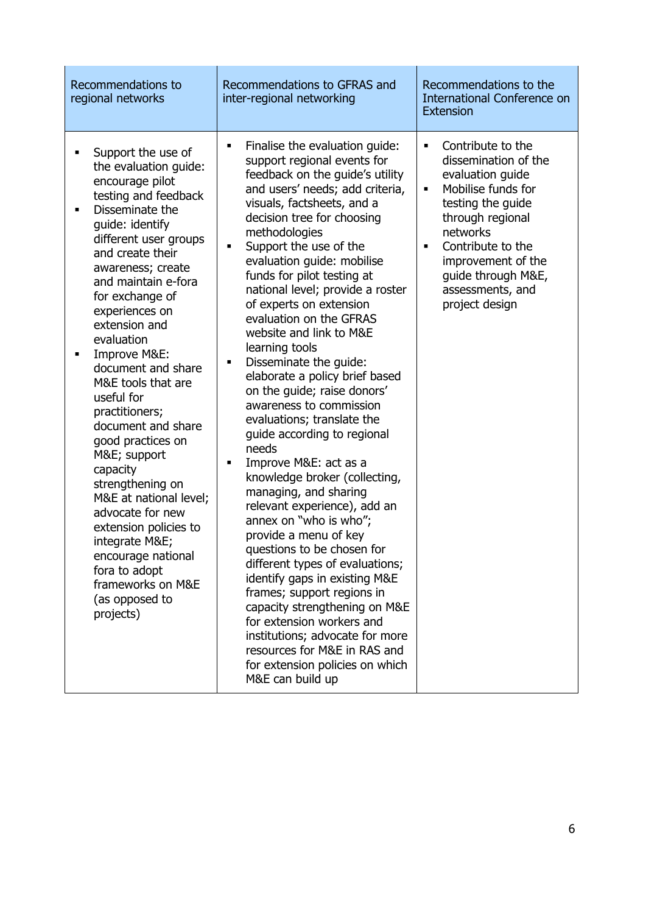| <b>Recommendations to</b><br>regional networks                                                                                                                                                                                                                                                                                                                                                                                                                                                                                                                                                                                                                               | Recommendations to GFRAS and<br>inter-regional networking                                                                                                                                                                                                                                                                                                                                                                                                                                                                                                                                                                                                                                                                                                                                                                                                                                                                                                                                                                                                                                                                                                   | Recommendations to the<br>International Conference on<br><b>Extension</b>                                                                                                                                                                                                                |
|------------------------------------------------------------------------------------------------------------------------------------------------------------------------------------------------------------------------------------------------------------------------------------------------------------------------------------------------------------------------------------------------------------------------------------------------------------------------------------------------------------------------------------------------------------------------------------------------------------------------------------------------------------------------------|-------------------------------------------------------------------------------------------------------------------------------------------------------------------------------------------------------------------------------------------------------------------------------------------------------------------------------------------------------------------------------------------------------------------------------------------------------------------------------------------------------------------------------------------------------------------------------------------------------------------------------------------------------------------------------------------------------------------------------------------------------------------------------------------------------------------------------------------------------------------------------------------------------------------------------------------------------------------------------------------------------------------------------------------------------------------------------------------------------------------------------------------------------------|------------------------------------------------------------------------------------------------------------------------------------------------------------------------------------------------------------------------------------------------------------------------------------------|
| Support the use of<br>٠<br>the evaluation guide:<br>encourage pilot<br>testing and feedback<br>Disseminate the<br>guide: identify<br>different user groups<br>and create their<br>awareness; create<br>and maintain e-fora<br>for exchange of<br>experiences on<br>extension and<br>evaluation<br>Improve M&E:<br>٠<br>document and share<br>M&E tools that are<br>useful for<br>practitioners;<br>document and share<br>good practices on<br>M&E support<br>capacity<br>strengthening on<br>M&E at national level;<br>advocate for new<br>extension policies to<br>integrate M&E<br>encourage national<br>fora to adopt<br>frameworks on M&E<br>(as opposed to<br>projects) | Finalise the evaluation guide:<br>٠<br>support regional events for<br>feedback on the guide's utility<br>and users' needs; add criteria,<br>visuals, factsheets, and a<br>decision tree for choosing<br>methodologies<br>Support the use of the<br>٠<br>evaluation guide: mobilise<br>funds for pilot testing at<br>national level; provide a roster<br>of experts on extension<br>evaluation on the GFRAS<br>website and link to M&E<br>learning tools<br>Disseminate the guide:<br>٠<br>elaborate a policy brief based<br>on the guide; raise donors'<br>awareness to commission<br>evaluations; translate the<br>guide according to regional<br>needs<br>Improve M&E: act as a<br>٠<br>knowledge broker (collecting,<br>managing, and sharing<br>relevant experience), add an<br>annex on "who is who";<br>provide a menu of key<br>questions to be chosen for<br>different types of evaluations;<br>identify gaps in existing M&E<br>frames; support regions in<br>capacity strengthening on M&E<br>for extension workers and<br>institutions; advocate for more<br>resources for M&E in RAS and<br>for extension policies on which<br>M&E can build up | Contribute to the<br>$\blacksquare$<br>dissemination of the<br>evaluation guide<br>Mobilise funds for<br>Ξ<br>testing the guide<br>through regional<br>networks<br>Contribute to the<br>$\blacksquare$<br>improvement of the<br>guide through M&E,<br>assessments, and<br>project design |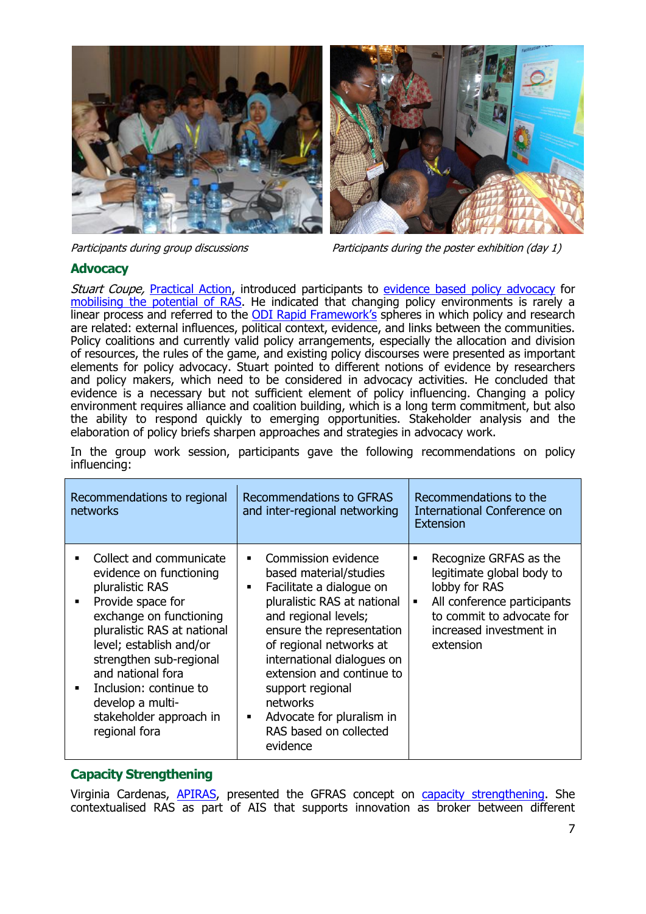



Participants during group discussions Participants during the poster exhibition (day 1)

## **Advocacy**

Stuart Coupe, [Practical Action,](http://practicalaction.org/) introduced participants to [evidence based policy advocacy](http://www.g-fras.org/images/events/annual_meetings/2011/inputs/advocacy-in-ras_stuart-coupe.pdf) for mobilising [the potential of RAS.](http://www.g-fras.org/en/knowledge/gfras-publications/file/3-mobilizing-the-potential-of-rural-and-agricultural-extension) He indicated that changing policy environments is rarely a linear process and referred to the [ODI Rapid Framework](http://www.odi.org.uk/Rapid/Tools/Documents/Framework.pdf)'s spheres in which policy and research are related: external influences, political context, evidence, and links between the communities. Policy coalitions and currently valid policy arrangements, especially the allocation and division of resources, the rules of the game, and existing policy discourses were presented as important elements for policy advocacy. Stuart pointed to different notions of evidence by researchers and policy makers, which need to be considered in advocacy activities. He concluded that evidence is a necessary but not sufficient element of policy influencing. Changing a policy environment requires alliance and coalition building, which is a long term commitment, but also the ability to respond quickly to emerging opportunities. Stakeholder analysis and the elaboration of policy briefs sharpen approaches and strategies in advocacy work.

|              |  |  |  | In the group work session, participants gave the following recommendations on policy |  |
|--------------|--|--|--|--------------------------------------------------------------------------------------|--|
| influencing: |  |  |  |                                                                                      |  |

| Recommendations to regional<br>networks                                                                                                                                                                                                                                                                                   | <b>Recommendations to GFRAS</b><br>and inter-regional networking                                                                                                                                                                                                                                                                                                                   | Recommendations to the<br><b>International Conference on</b><br>Extension                                                                                                                       |
|---------------------------------------------------------------------------------------------------------------------------------------------------------------------------------------------------------------------------------------------------------------------------------------------------------------------------|------------------------------------------------------------------------------------------------------------------------------------------------------------------------------------------------------------------------------------------------------------------------------------------------------------------------------------------------------------------------------------|-------------------------------------------------------------------------------------------------------------------------------------------------------------------------------------------------|
| Collect and communicate<br>evidence on functioning<br>pluralistic RAS<br>Provide space for<br>exchange on functioning<br>pluralistic RAS at national<br>level; establish and/or<br>strengthen sub-regional<br>and national fora<br>Inclusion: continue to<br>develop a multi-<br>stakeholder approach in<br>regional fora | Commission evidence<br>$\blacksquare$<br>based material/studies<br>Facilitate a dialogue on<br>٠<br>pluralistic RAS at national<br>and regional levels;<br>ensure the representation<br>of regional networks at<br>international dialogues on<br>extension and continue to<br>support regional<br>networks<br>Advocate for pluralism in<br>٠<br>RAS based on collected<br>evidence | Recognize GRFAS as the<br>П<br>legitimate global body to<br>lobby for RAS<br>All conference participants<br>$\blacksquare$<br>to commit to advocate for<br>increased investment in<br>extension |

## **Capacity Strengthening**

Virginia Cardenas, [APIRAS,](http://www.apirasnetwork.org/) presented the GFRAS concept on [capacity strengthening.](http://www.g-fras.org/images/events/annual_meetings/2011/Capacity-Strengthening_Virginia-Cardenas.pdf) She contextualised RAS as part of AIS that supports innovation as broker between different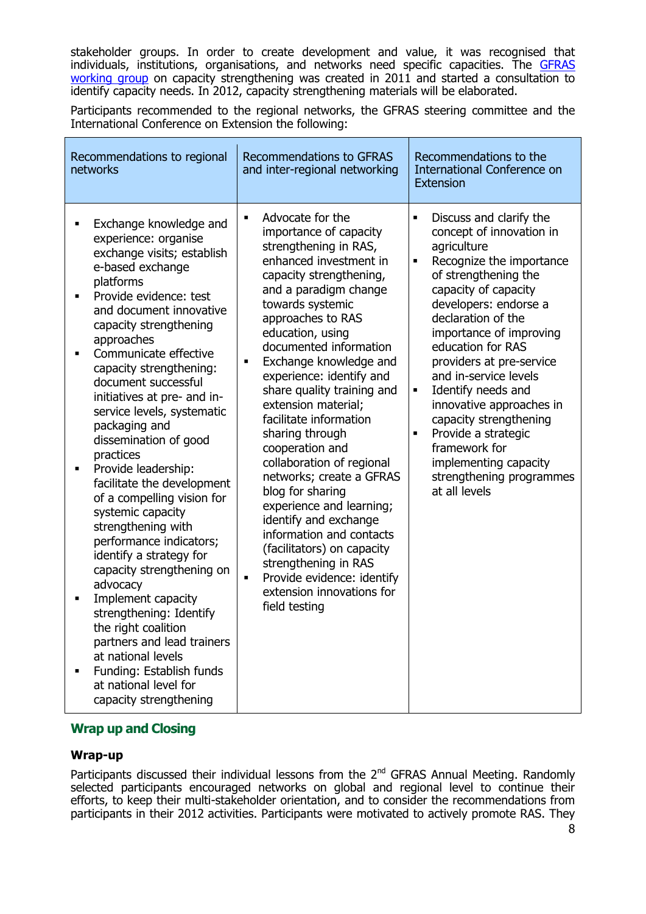stakeholder groups. In order to create development and value, it was recognised that individuals, institutions, organisations, and networks need specific capacities. The GFRAS [working group](http://www.g-fras.org/en/community/working-groups) on capacity strengthening was created in 2011 and started a consultation to identify capacity needs. In 2012, capacity strengthening materials will be elaborated.

Participants recommended to the regional networks, the GFRAS steering committee and the International Conference on Extension the following:

| Recommendations to regional<br>networks                                                                                                                                                                                                                                                                                                                                                                                                                                                                                                                                                                                                                                                                                                                                                                                                           | <b>Recommendations to GFRAS</b><br>and inter-regional networking                                                                                                                                                                                                                                                                                                                                                                                                                                                                                                                                                                                                                                                                                             | Recommendations to the<br><b>International Conference on</b><br><b>Extension</b>                                                                                                                                                                                                                                                                                                                                                                                                                                                                   |
|---------------------------------------------------------------------------------------------------------------------------------------------------------------------------------------------------------------------------------------------------------------------------------------------------------------------------------------------------------------------------------------------------------------------------------------------------------------------------------------------------------------------------------------------------------------------------------------------------------------------------------------------------------------------------------------------------------------------------------------------------------------------------------------------------------------------------------------------------|--------------------------------------------------------------------------------------------------------------------------------------------------------------------------------------------------------------------------------------------------------------------------------------------------------------------------------------------------------------------------------------------------------------------------------------------------------------------------------------------------------------------------------------------------------------------------------------------------------------------------------------------------------------------------------------------------------------------------------------------------------------|----------------------------------------------------------------------------------------------------------------------------------------------------------------------------------------------------------------------------------------------------------------------------------------------------------------------------------------------------------------------------------------------------------------------------------------------------------------------------------------------------------------------------------------------------|
| Exchange knowledge and<br>experience: organise<br>exchange visits; establish<br>e-based exchange<br>platforms<br>Provide evidence: test<br>and document innovative<br>capacity strengthening<br>approaches<br>Communicate effective<br>capacity strengthening:<br>document successful<br>initiatives at pre- and in-<br>service levels, systematic<br>packaging and<br>dissemination of good<br>practices<br>Provide leadership:<br>facilitate the development<br>of a compelling vision for<br>systemic capacity<br>strengthening with<br>performance indicators;<br>identify a strategy for<br>capacity strengthening on<br>advocacy<br>Implement capacity<br>strengthening: Identify<br>the right coalition<br>partners and lead trainers<br>at national levels<br>Funding: Establish funds<br>at national level for<br>capacity strengthening | Advocate for the<br>Ξ<br>importance of capacity<br>strengthening in RAS,<br>enhanced investment in<br>capacity strengthening,<br>and a paradigm change<br>towards systemic<br>approaches to RAS<br>education, using<br>documented information<br>Exchange knowledge and<br>$\blacksquare$<br>experience: identify and<br>share quality training and<br>extension material;<br>facilitate information<br>sharing through<br>cooperation and<br>collaboration of regional<br>networks; create a GFRAS<br>blog for sharing<br>experience and learning;<br>identify and exchange<br>information and contacts<br>(facilitators) on capacity<br>strengthening in RAS<br>Provide evidence: identify<br>$\blacksquare$<br>extension innovations for<br>field testing | Discuss and clarify the<br>$\blacksquare$<br>concept of innovation in<br>agriculture<br>Recognize the importance<br>$\blacksquare$<br>of strengthening the<br>capacity of capacity<br>developers: endorse a<br>declaration of the<br>importance of improving<br>education for RAS<br>providers at pre-service<br>and in-service levels<br>Identify needs and<br>$\blacksquare$<br>innovative approaches in<br>capacity strengthening<br>Provide a strategic<br>framework for<br>implementing capacity<br>strengthening programmes<br>at all levels |

## **Wrap up and Closing**

#### **Wrap-up**

Participants discussed their individual lessons from the  $2<sup>nd</sup>$  GFRAS Annual Meeting. Randomly selected participants encouraged networks on global and regional level to continue their efforts, to keep their multi-stakeholder orientation, and to consider the recommendations from participants in their 2012 activities. Participants were motivated to actively promote RAS. They